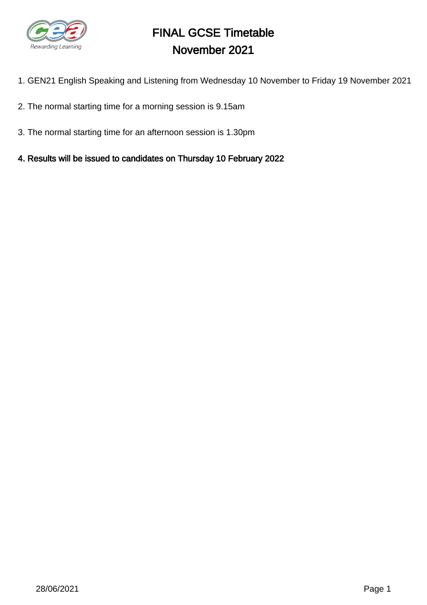

# FINAL GCSE Timetable November 2021

- 1. GEN21 English Speaking and Listening from Wednesday 10 November to Friday 19 November 2021
- 2. The normal starting time for a morning session is 9.15am
- 3. The normal starting time for an afternoon session is 1.30pm
- 4. Results will be issued to candidates on Thursday 10 February 2022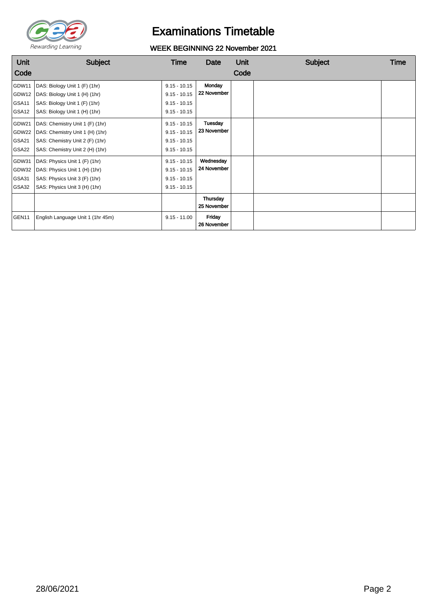

## Examinations Timetable

### WEEK BEGINNING 22 November 2021

| Unit<br>Code                            | <b>Subject</b>                                                                                                                           | Time                                                                 | Date                     | Unit<br>Code | <b>Subject</b> | Time |
|-----------------------------------------|------------------------------------------------------------------------------------------------------------------------------------------|----------------------------------------------------------------------|--------------------------|--------------|----------------|------|
| GDW11<br>GDW12<br>GSA11<br>GSA12        | DAS: Biology Unit 1 (F) (1hr)<br>DAS: Biology Unit 1 (H) (1hr)<br>SAS: Biology Unit 1 (F) (1hr)<br>SAS: Biology Unit 1 (H) (1hr)         | $9.15 - 10.15$<br>$9.15 - 10.15$<br>$9.15 - 10.15$<br>$9.15 - 10.15$ | Monday<br>22 November    |              |                |      |
| GDW21<br>GDW22<br><b>GSA21</b><br>GSA22 | DAS: Chemistry Unit 1 (F) (1hr)<br>DAS: Chemistry Unit 1 (H) (1hr)<br>SAS: Chemistry Unit 2 (F) (1hr)<br>SAS: Chemistry Unit 2 (H) (1hr) | $9.15 - 10.15$<br>$9.15 - 10.15$<br>$9.15 - 10.15$<br>$9.15 - 10.15$ | Tuesday<br>23 November   |              |                |      |
| GDW31<br>GDW32<br>GSA31<br>GSA32        | DAS: Physics Unit 1 (F) (1hr)<br>DAS: Physics Unit 1 (H) (1hr)<br>SAS: Physics Unit 3 (F) (1hr)<br>SAS: Physics Unit 3 (H) (1hr)         | $9.15 - 10.15$<br>$9.15 - 10.15$<br>$9.15 - 10.15$<br>$9.15 - 10.15$ | Wednesday<br>24 November |              |                |      |
|                                         |                                                                                                                                          |                                                                      | Thursday<br>25 November  |              |                |      |
| GEN11                                   | English Language Unit 1 (1hr 45m)                                                                                                        | $9.15 - 11.00$                                                       | Friday<br>26 November    |              |                |      |